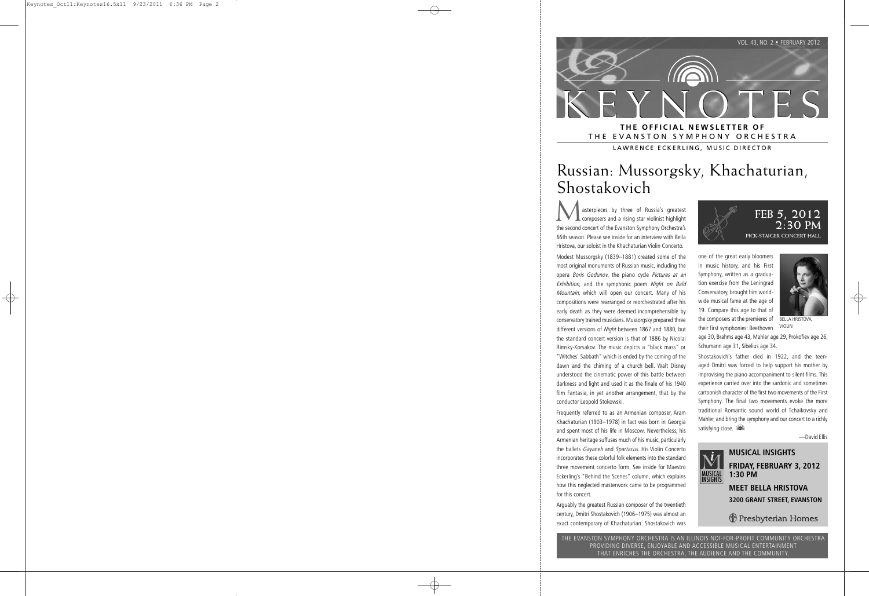

THE EVANSTON SYMPHONY ORCHESTRA

LAWRENCE ECKERLING, MUSIC DIRECTOR

# Russian: Mussorgsky, Khachaturian, Shostakovich

asterpieces by three of Russia's greatest composers and a rising star violinist highlight the second concert of the Evanston Symphony Orchestra's 66th season. Please see inside for an interview with Bella Hristova, our soloist in the Khachaturian Violin Concerto.

Modest Mussorgsky (1839–1881) created some of the most original monuments of Russian music, including the opera Boris Godunov, the piano cycle Pictures at an Exhibition, and the symphonic poem Night on Bald Mountain, which will open our concert. Many of his compositions were rearranged or reorchestrated after his early death as they were deemed incomprehensible by conservatory trained musicians. Mussorgsky prepared three different versions of Night between 1867 and 1880, but the standard concert version is that of 1886 by Nicolai Rimsky-Korsakov. The music depicts a "black mass" or "Witches' Sabbath" which is ended by the coming of the dawn and the chiming of a church bell. Walt Disney understood the cinematic power of this battle between darkness and light and used it as the finale of his 1940 film Fantasia, in yet another arrangement, that by the conductor Leopold Stokowski.

Frequently referred to as an Armenian composer, Aram Khachaturian (1903–1978) in fact was born in Georgia and spent most of his life in Moscow. Nevertheless, his Armenian heritage suffuses much of his music, particularly the ballets Gayaneh and Spartacus. His Violin Concerto incorporates these colorful folk elements into the standard three movement concerto form. See inside for Maestro Eckerling's "Behind the Scenes" column, which explains how this neglected masterwork came to be programmed for this concert.

Arguably the greatest Russian composer of the twentieth century, Dmitri Shostakovich (1906–1975) was almost an exact contemporary of Khachaturian. Shostakovich was



one of the great early bloomers in music history, and his First Symphony, written as a graduation exercise from the Leningrad Conservatory, brought him worldwide musical fame at the age of 19. Compare this age to that of the composers at the premieres of their first symphonies: Beethoven



BELLA HRISTOVA, VIOLIN

age 30, Brahms age 43, Mahler age 29, Prokofiev age 26, Schumann age 31, Sibelius age 34.

Shostakovich's father died in 1922, and the teenaged Dmitri was forced to help support his mother by improvising the piano accompaniment to silent films. This experience carried over into the sardonic and sometimes cartoonish character of the first two movements of the First Symphony. The final two movements evoke the more traditional Romantic sound world of Tchaikovsky and Mahler, and bring the symphony and our concert to a richly satisfying close.

—David Ellis



#### **MUSICAL INSIGHTS FRIDAY, FEBRUARY 3, 2012 1:30 PM MEET BELLA HRISTOVA 3200 GRANT STREET, EVANSTON**

**J** Presbyterian Homes

THE EVANSTON SYMPHONY ORCHESTRA IS AN ILLINOIS NOT-FOR-PROFIT COMMUNITY ORCHESTRA PROVIDING DIVERSE, ENJOYABLE AND ACCESSIBLE MUSICAL ENTERTAINMENT THAT ENRICHES THE ORCHESTRA, THE AUDIENCE AND THE COMMUNITY.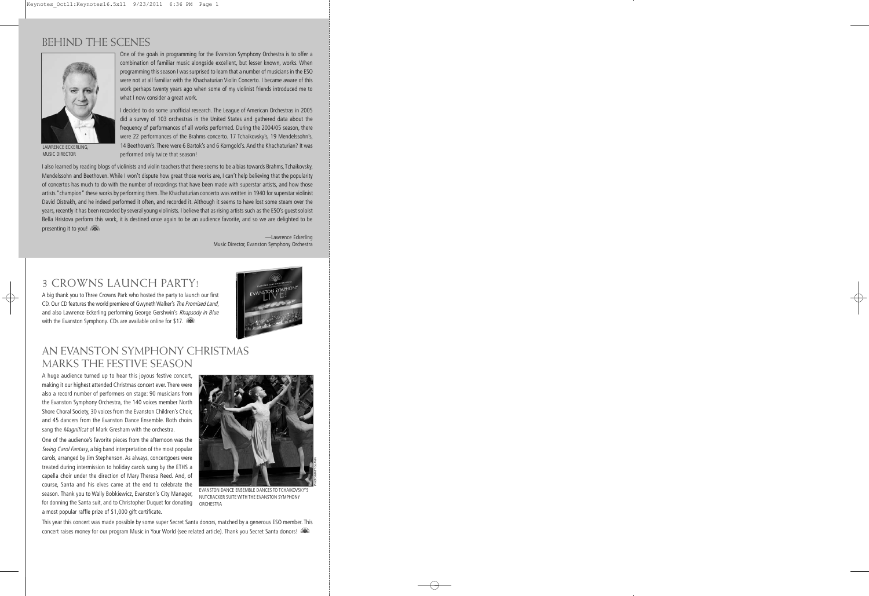#### BEHIND THE SCENES



LAWRENCE ECKERLING, MUSIC DIRECTOR

One of the goals in programming for the Evanston Symphony Orchestra is to offer a combination of familiar music alongside excellent, but lesser known, works. When programming this season I was surprised to learn that a number of musicians in the ESO were not at all familiar with the Khachaturian Violin Concerto. I became aware of this work perhaps twenty years ago when some of my violinist friends introduced me to what I now consider a great work.

I decided to do some unofficial research. The League of American Orchestras in 2005 did a survey of 103 orchestras in the United States and gathered data about the frequency of performances of all works performed. During the 2004/05 season, there were 22 performances of the Brahms concerto. 17 Tchaikovsky's, 19 Mendelssohn's, 14 Beethoven's. There were 6 Bartok's and 6 Korngold's. And the Khachaturian? It was performed only twice that season!

I also learned by reading blogs of violinists and violin teachers that there seems to be a bias towards Brahms, Tchaikovsky, Mendelssohn and Beethoven. While I won't dispute how great those works are, I can't help believing that the popularity of concertos has much to do with the number of recordings that have been made with superstar artists, and how those artists "champion" these works by performing them. The Khachaturian concerto was written in 1940 for superstar violinist David Oistrakh, and he indeed performed it often, and recorded it. Although it seems to have lost some steam over the years, recently it has been recorded by several young violinists. I believe that as rising artists such as the ESO's guest soloist Bella Hristova perform this work, it is destined once again to be an audience favorite, and so we are delighted to be presenting it to you!

> —Lawrence Eckerling Music Director, Evanston Symphony Orchestra

#### 3 CROWNS LAUNCH PARTY!

A big thank you to Three Crowns Park who hosted the party to launch our first CD. Our CD features the world premiere of Gwyneth Walker's The Promised Land, and also Lawrence Eckerling performing George Gershwin's Rhapsody in Blue with the Evanston Symphony. CDs are available online for \$17.



#### AN EVANSTON SYMPHONY CHRISTMAS MARKS THE FESTIVE SEASON

A huge audience turned up to hear this joyous festive concert, making it our highest attended Christmas concert ever. There were also a record number of performers on stage: 90 musicians from the Evanston Symphony Orchestra, the 140 voices member North Shore Choral Society, 30 voices from the Evanston Children's Choir, and 45 dancers from the Evanston Dance Ensemble. Both choirs sang the Magnificat of Mark Gresham with the orchestra.

One of the audience's favorite pieces from the afternoon was the Swing Carol Fantasy, a big band interpretation of the most popular carols, arranged by Jim Stephenson. As always, concertgoers were treated during intermission to holiday carols sung by the ETHS a capella choir under the direction of Mary Theresa Reed. And, of course, Santa and his elves came at the end to celebrate the season. Thank you to Wally Bobkiewicz, Evanston's City Manager, for donning the Santa suit, and to Christopher Duquet for donating a most popular raffle prize of \$1,000 gift certificate.



EVANSTON DANCE ENSEMBLE DANCES TO TCHAIKOVSKY'S NUTCRACKER SUITE WITH THE EVANSTON SYMPHONY **ORCHESTRA** 

This year this concert was made possible by some super Secret Santa donors, matched by a generous ESO member. This concert raises money for our program Music in Your World (see related article). Thank you Secret Santa donors!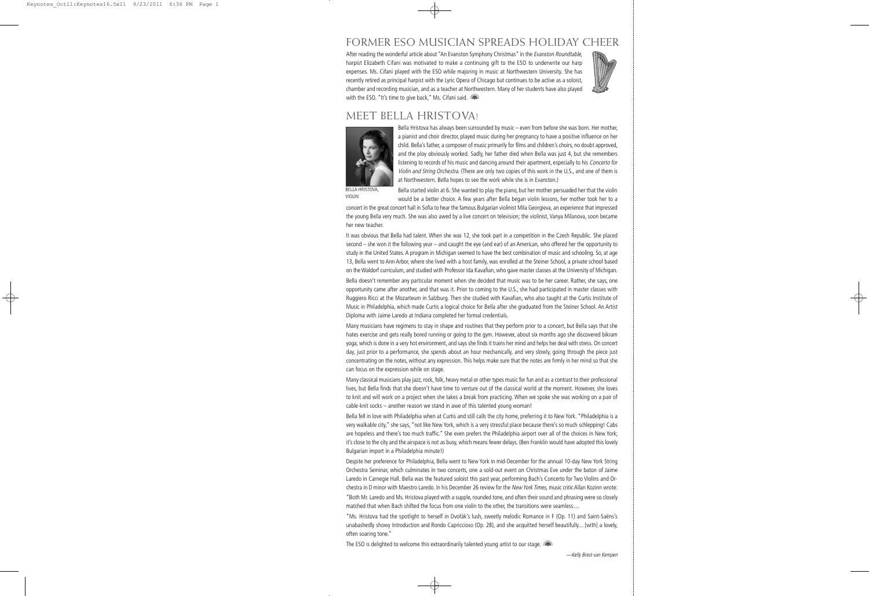## FORMER ESO MUSICIAN SPREADS HOLIDAY CHEER

After reading the wonderful article about "An Evanston Symphony Christmas" in the Evanston Roundtable, harpist Elizabeth Cifani was motivated to make a continuing gift to the ESO to underwrite our harp expenses. Ms. Cifani played with the ESO while majoring in music at Northwestern University. She has recently retired as principal harpist with the Lyric Opera of Chicago but continues to be active as a soloist, chamber and recording musician, and as a teacher at Northwestern. Many of her students have also played with the ESO. "It's time to give back," Ms. Cifani said.



#### MEET BELLA HRISTOVA!



BELLA HRISTOVA, VIOLIN

Bella Hristova has always been surrounded by music – even from before she was born. Her mother, a pianist and choir director, played music during her pregnancy to have a positive influence on her child. Bella's father, a composer of music primarily for films and children's choirs, no doubt approved, and the ploy obviously worked. Sadly, her father died when Bella was just 4, but she remembers listening to records of his music and dancing around their apartment, especially to his Concerto for Violin and String Orchestra. (There are only two copies of this work in the U.S., and one of them is at Northwestern. Bella hopes to see the work while she is in Evanston.)

Bella started violin at 6. She wanted to play the piano, but her mother persuaded her that the violin would be a better choice. A few years after Bella began violin lessons, her mother took her to a

 concert in the great concert hall in Sofia to hear the famous Bulgarian violinist Mila Georgieva, an experience that impressed the young Bella very much. She was also awed by a live concert on television; the violinist, Vanya Milanova, soon became her new teacher.

It was obvious that Bella had talent. When she was 12, she took part in a competition in the Czech Republic. She placed second – she won it the following year – and caught the eye (and ear) of an American, who offered her the opportunity to study in the United States. A program in Michigan seemed to have the best combination of music and schooling. So, at age 13, Bella went to Ann Arbor, where she lived with a host family, was enrolled at the Steiner School, a private school based on the Waldorf curriculum, and studied with Professor Ida Kavafian, who gave master classes at the University of Michigan.

Bella doesn't remember any particular moment when she decided that music was to be her career. Rather, she says, one opportunity came after another, and that was it. Prior to coming to the U.S., she had participated in master classes with Ruggiero Ricci at the Mozarteum in Salzburg. Then she studied with Kavafian, who also taught at the Curtis Institute of Music in Philadelphia, which made Curtis a logical choice for Bella after she graduated from the Steiner School. An Artist Diploma with Jaime Laredo at Indiana completed her formal credentials.

Many musicians have regimens to stay in shape and routines that they perform prior to a concert, but Bella says that she hates exercise and gets really bored running or going to the gym. However, about six months ago she discovered bikram yoga, which is done in a very hot environment, and says she finds it trains her mind and helps her deal with stress. On concert day, just prior to a performance, she spends about an hour mechanically, and very slowly, going through the piece just concentrating on the notes, without any expression. This helps make sure that the notes are firmly in her mind so that she can focus on the expression while on stage.

Many classical musicians play jazz, rock, folk, heavy metal or other types music for fun and as a contrast to their professional lives, but Bella finds that she doesn't have time to venture out of the classical world at the moment. However, she loves to knit and will work on a project when she takes a break from practicing. When we spoke she was working on a pair of cable-knit socks – another reason we stand in awe of this talented young woman!

Bella fell in love with Philadelphia when at Curtis and still calls the city home, preferring it to New York. "Philadelphia is a very walkable city," she says, "not like New York, which is a very stressful place because there's so much schlepping! Cabs are hopeless and there's too much traffic." She even prefers the Philadelphia airport over all of the choices in New York; it's close to the city and the airspace is not as busy, which means fewer delays. (Ben Franklin would have adopted this lovely Bulgarian import in a Philadelphia minute!)

Despite her preference for Philadelphia, Bella went to New York in mid-December for the annual 10-day New York String Orchestra Seminar, which culminates in two concerts, one a sold-out event on Christmas Eve under the baton of Jaime Laredo in Carnegie Hall. Bella was the featured soloist this past year, performing Bach's Concerto for Two Violins and Orchestra in D minor with Maestro Laredo. In his December 26 review for the New York Times, music critic Allan Kozinn wrote:

"Both Mr. Laredo and Ms. Hristova played with a supple, rounded tone, and often their sound and phrasing were so closely matched that when Bach shifted the focus from one violin to the other, the transitions were seamless…

"Ms. Hristova had the spotlight to herself in Dvořák's lush, sweetly melodic Romance in F (Op. 11) and Saint-Saëns's unabashedly showy Introduction and Rondo Capriccioso (Op. 28), and she acquitted herself beautifully... [with] a lovely, often soaring tone."

The ESO is delighted to welcome this extraordinarily talented young artist to our stage. **The State**